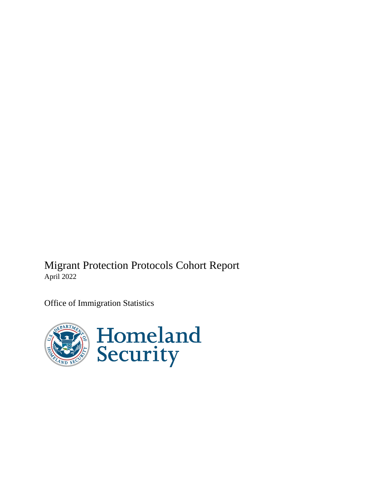Migrant Protection Protocols Cohort Report April 2022

Office of Immigration Statistics

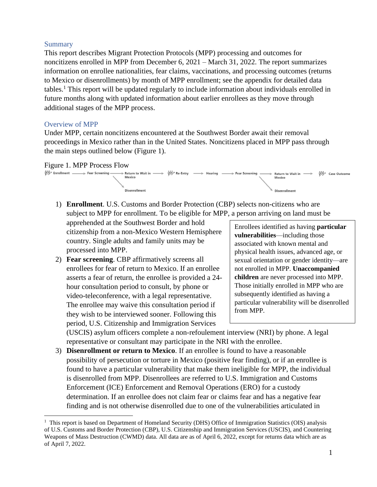#### **Summary**

This report describes Migrant Protection Protocols (MPP) processing and outcomes for noncitizens enrolled in MPP from December 6, 2021 – March 31, 2022. The report summarizes information on enrollee nationalities, fear claims, vaccinations, and processing outcomes (returns to Mexico or disenrollments) by month of MPP enrollment; see the appendix for detailed data tables. <sup>1</sup> This report will be updated regularly to include information about individuals enrolled in future months along with updated information about earlier enrollees as they move through additional stages of the MPP process.

#### Overview of MPP

Under MPP, certain noncitizens encountered at the Southwest Border await their removal proceedings in Mexico rather than in the United States. Noncitizens placed in MPP pass through the main steps outlined below (Figure 1).

#### Figure 1. MPP Process Flow



1) **Enrollment**. U.S. Customs and Border Protection (CBP) selects non-citizens who are subject to MPP for enrollment. To be eligible for MPP, a person arriving on land must be

apprehended at the Southwest Border and hold citizenship from a non-Mexico Western Hemisphere country. Single adults and family units may be processed into MPP.

2) **Fear screening**. CBP affirmatively screens all enrollees for fear of return to Mexico. If an enrollee asserts a fear of return, the enrollee is provided a 24 hour consultation period to consult, by phone or video-teleconference, with a legal representative. The enrollee may waive this consultation period if they wish to be interviewed sooner. Following this period, U.S. Citizenship and Immigration Services

Enrollees identified as having **particular vulnerabilities**—including those associated with known mental and physical health issues, advanced age, or sexual orientation or gender identity—are not enrolled in MPP. **Unaccompanied children** are never processed into MPP. Those initially enrolled in MPP who are subsequently identified as having a particular vulnerability will be disenrolled from MPP.

(USCIS) asylum officers complete a non-refoulement interview (NRI) by phone. A legal representative or consultant may participate in the NRI with the enrollee.

3) **Disenrollment or return to Mexico**. If an enrollee is found to have a reasonable possibility of persecution or torture in Mexico (positive fear finding), or if an enrollee is found to have a particular vulnerability that make them ineligible for MPP, the individual is disenrolled from MPP. Disenrollees are referred to U.S. Immigration and Customs Enforcement (ICE) Enforcement and Removal Operations (ERO) for a custody determination. If an enrollee does not claim fear or claims fear and has a negative fear finding and is not otherwise disenrolled due to one of the vulnerabilities articulated in

<sup>&</sup>lt;sup>1</sup> This report is based on Department of Homeland Security (DHS) Office of Immigration Statistics (OIS) analysis of U.S. Customs and Border Protection (CBP), U.S. Citizenship and Immigration Services (USCIS), and Countering Weapons of Mass Destruction (CWMD) data. All data are as of April 6, 2022, except for returns data which are as of April 7, 2022.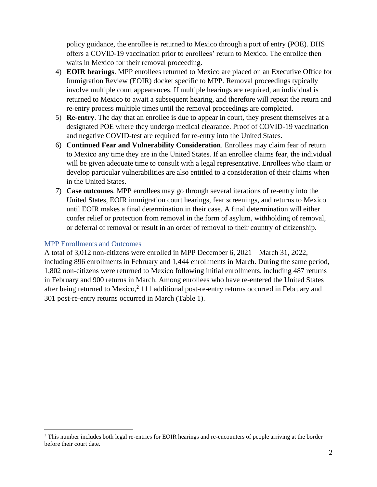policy guidance, the enrollee is returned to Mexico through a port of entry (POE). DHS offers a COVID-19 vaccination prior to enrollees' return to Mexico. The enrollee then waits in Mexico for their removal proceeding.

- 4) **EOIR hearings**. MPP enrollees returned to Mexico are placed on an Executive Office for Immigration Review (EOIR) docket specific to MPP. Removal proceedings typically involve multiple court appearances. If multiple hearings are required, an individual is returned to Mexico to await a subsequent hearing, and therefore will repeat the return and re-entry process multiple times until the removal proceedings are completed.
- 5) **Re-entry**. The day that an enrollee is due to appear in court, they present themselves at a designated POE where they undergo medical clearance. Proof of COVID-19 vaccination and negative COVID-test are required for re-entry into the United States.
- 6) **Continued Fear and Vulnerability Consideration**. Enrollees may claim fear of return to Mexico any time they are in the United States. If an enrollee claims fear, the individual will be given adequate time to consult with a legal representative. Enrollees who claim or develop particular vulnerabilities are also entitled to a consideration of their claims when in the United States.
- 7) **Case outcomes**. MPP enrollees may go through several iterations of re-entry into the United States, EOIR immigration court hearings, fear screenings, and returns to Mexico until EOIR makes a final determination in their case. A final determination will either confer relief or protection from removal in the form of asylum, withholding of removal, or deferral of removal or result in an order of removal to their country of citizenship.

#### MPP Enrollments and Outcomes

A total of 3,012 non-citizens were enrolled in MPP December 6, 2021 – March 31, 2022, including 896 enrollments in February and 1,444 enrollments in March. During the same period, 1,802 non-citizens were returned to Mexico following initial enrollments, including 487 returns in February and 900 returns in March. Among enrollees who have re-entered the United States after being returned to Mexico,<sup>2</sup> 111 additional post-re-entry returns occurred in February and 301 post-re-entry returns occurred in March (Table 1).

<sup>&</sup>lt;sup>2</sup> This number includes both legal re-entries for EOIR hearings and re-encounters of people arriving at the border before their court date.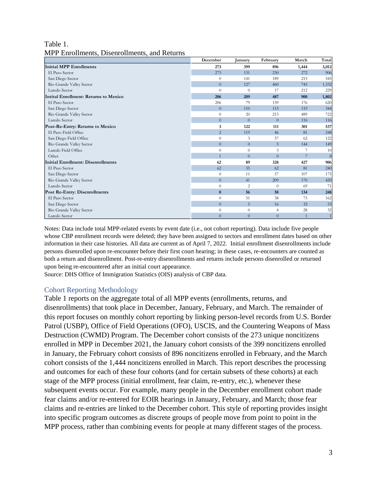#### Table 1. MPP Enrollments, Disenrollments, and Returns

|                                       | December       | January        | February       | March          | Total |
|---------------------------------------|----------------|----------------|----------------|----------------|-------|
| <b>Initial MPP Enrollments</b>        | 273            | 399            | 896            | 1,444          | 3,012 |
| El Paso Sector                        | 273            | 131            | 230            | 272            | 906   |
| San Diego Sector                      | $\theta$       | 141            | 189            | 215            | 545   |
| Rio Grande Valley Sector              | $\overline{0}$ | 127            | 460            | 745            | 1,332 |
| Laredo Sector                         | $\Omega$       | $\Omega$       | 17             | 212            | 229   |
| Intital Enrollment: Returns to Mexico | 206            | 209            | 487            | 900            | 1,802 |
| El Paso Sector                        | 206            | 79             | 159            | 176            | 620   |
| San Diego Sector                      | $\theta$       | 110            | 115            | 119            | 344   |
| Rio Grande Valley Sector              | $\Omega$       | 20             | 213            | 489            | 722   |
| Laredo Sector                         | $\theta$       | $\overline{0}$ | $\overline{0}$ | 116            | 116   |
| Post-Re-Entry: Returns to Mexico      | 3              | 122            | 111            | 301            | 537   |
| El Paso Field Office                  | $\overline{2}$ | 119            | 46             | 81             | 248   |
| San Diego Field Office                | $\Omega$       | 3              | 57             | 62             | 122   |
| Rio Grande Valley Sector              | $\overline{0}$ | $\overline{0}$ | 5              | 144            | 149   |
| Laredo Field Office                   | $\Omega$       | $\theta$       | 3              |                | 10    |
| Other                                 | $\overline{1}$ | $\Omega$       | $\Omega$       | $\overline{7}$ | 8     |
| Initial Enrollment: Disenrollments    | 62             | 89             | 328            | 427            | 906   |
| El Paso Sector                        | 62             | 35             | 62             | 81             | 240   |
| San Diego Sector                      | $\theta$       | 11             | 57             | 107            | 175   |
| Rio Grande Valley Sector              | $\Omega$       | 41             | 209            | 170            | 420   |
| Laredo Sector                         | $\Omega$       | 2              | $\overline{0}$ | 69             | 71    |
| <b>Post Re-Entry: Disenrollments</b>  | $\bf{0}$       | 56             | 58             | 134            | 248   |
| El Paso Sector                        | $\Omega$       | 51             | 38             | 73             | 162   |
| San Diego Sector                      | $\overline{0}$ | 5              | 16             | 32             | 53    |
| Rio Grande Valley Sector              | $\overline{0}$ | $\theta$       | $\overline{4}$ | 28             | 32    |
| Laredo Sector                         | $\theta$       | $\overline{0}$ | $\theta$       |                |       |

Notes: Data include total MPP-related events by event date (i.e., not cohort reporting). Data include five people whose CBP enrollment records were deleted; they have been assigned to sectors and enrollment dates based on other information in their case histories. All data are current as of April 7, 2022. Initial enrollment disenrollments include persons disenrolled upon re-encounter before their first court hearing; in these cases, re-encounters are counted as both a return and disenrollment. Post-re-entry disenrollments and returns include persons disenrolled or returned upon being re-encountered after an initial court appearance.

Source: DHS Office of Immigration Statistics (OIS) analysis of CBP data.

#### Cohort Reporting Methodology

Table 1 reports on the aggregate total of all MPP events (enrollments, returns, and disenrollments) that took place in December, January, February, and March. The remainder of this report focuses on monthly cohort reporting by linking person-level records from U.S. Border Patrol (USBP), Office of Field Operations (OFO), USCIS, and the Countering Weapons of Mass Destruction (CWMD) Program. The December cohort consists of the 273 unique noncitizens enrolled in MPP in December 2021, the January cohort consists of the 399 noncitizens enrolled in January, the February cohort consists of 896 noncitizens enrolled in February, and the March cohort consists of the 1,444 noncitizens enrolled in March. This report describes the processing and outcomes for each of these four cohorts (and for certain subsets of these cohorts) at each stage of the MPP process (initial enrollment, fear claim, re-entry, etc.), whenever these subsequent events occur. For example, many people in the December enrollment cohort made fear claims and/or re-entered for EOIR hearings in January, February, and March; those fear claims and re-entries are linked to the December cohort. This style of reporting provides insight into specific program outcomes as discrete groups of people move from point to point in the MPP process, rather than combining events for people at many different stages of the process.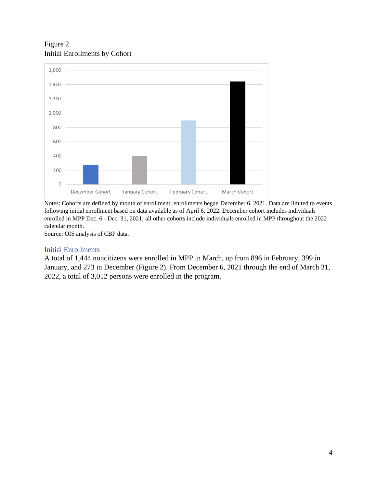Figure 2. Initial Enrollments by Cohort



Notes: Cohorts are defined by month of enrollment; enrollments began December 6, 2021. Data are limited to events following initial enrollment based on data available as of April 6, 2022. December cohort includes individuals enrolled in MPP Dec. 6 - Dec. 31, 2021; all other cohorts include individuals enrolled in MPP throughout the 2022 calendar month.

Source: OIS analysis of CBP data.

#### Initial Enrollments

A total of 1,444 noncitizens were enrolled in MPP in March, up from 896 in February, 399 in January, and 273 in December (Figure 2). From December 6, 2021 through the end of March 31, 2022, a total of 3,012 persons were enrolled in the program.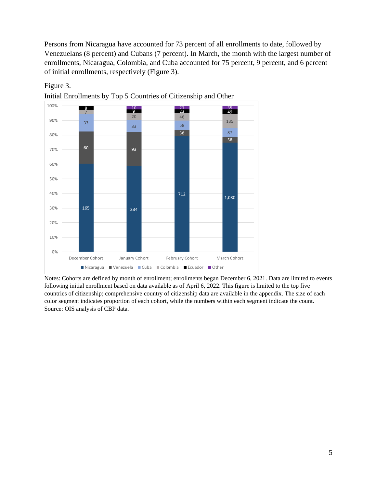Persons from Nicaragua have accounted for 73 percent of all enrollments to date, followed by Venezuelans (8 percent) and Cubans (7 percent). In March, the month with the largest number of enrollments, Nicaragua, Colombia, and Cuba accounted for 75 percent, 9 percent, and 6 percent of initial enrollments, respectively (Figure 3).



Figure 3.

Initial Enrollments by Top 5 Countries of Citizenship and Other

Notes: Cohorts are defined by month of enrollment; enrollments began December 6, 2021. Data are limited to events following initial enrollment based on data available as of April 6, 2022. This figure is limited to the top five countries of citizenship; comprehensive country of citizenship data are available in the appendix. The size of each color segment indicates proportion of each cohort, while the numbers within each segment indicate the count. Source: OIS analysis of CBP data.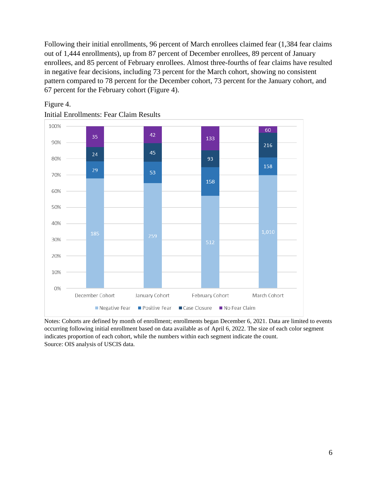Following their initial enrollments, 96 percent of March enrollees claimed fear (1,384 fear claims out of 1,444 enrollments), up from 87 percent of December enrollees, 89 percent of January enrollees, and 85 percent of February enrollees. Almost three-fourths of fear claims have resulted in negative fear decisions, including 73 percent for the March cohort, showing no consistent pattern compared to 78 percent for the December cohort, 73 percent for the January cohort, and 67 percent for the February cohort (Figure 4).



#### Figure 4.

Initial Enrollments: Fear Claim Results

Notes: Cohorts are defined by month of enrollment; enrollments began December 6, 2021. Data are limited to events occurring following initial enrollment based on data available as of April 6, 2022. The size of each color segment indicates proportion of each cohort, while the numbers within each segment indicate the count. Source: OIS analysis of USCIS data.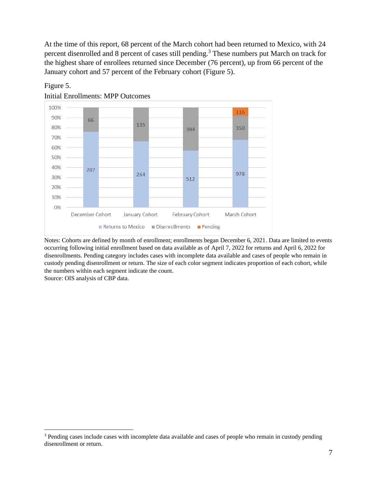At the time of this report, 68 percent of the March cohort had been returned to Mexico, with 24 percent disenrolled and 8 percent of cases still pending.<sup>3</sup> These numbers put March on track for the highest share of enrollees returned since December (76 percent), up from 66 percent of the January cohort and 57 percent of the February cohort (Figure 5).



#### Figure 5.

Initial Enrollments: MPP Outcomes

Notes: Cohorts are defined by month of enrollment; enrollments began December 6, 2021. Data are limited to events occurring following initial enrollment based on data available as of April 7, 2022 for returns and April 6, 2022 for disenrollments. Pending category includes cases with incomplete data available and cases of people who remain in custody pending disenrollment or return. The size of each color segment indicates proportion of each cohort, while the numbers within each segment indicate the count. Source: OIS analysis of CBP data.

<sup>&</sup>lt;sup>3</sup> Pending cases include cases with incomplete data available and cases of people who remain in custody pending disenrollment or return.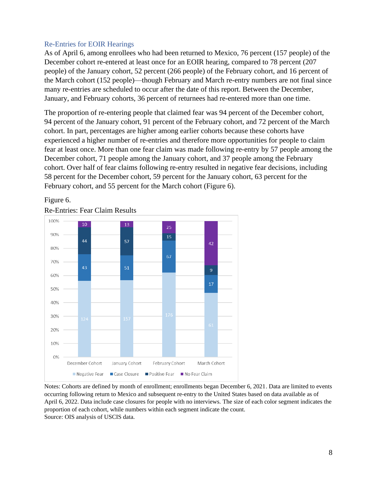#### Re-Entries for EOIR Hearings

As of April 6, among enrollees who had been returned to Mexico, 76 percent (157 people) of the December cohort re-entered at least once for an EOIR hearing, compared to 78 percent (207 people) of the January cohort, 52 percent (266 people) of the February cohort, and 16 percent of the March cohort (152 people)—though February and March re-entry numbers are not final since many re-entries are scheduled to occur after the date of this report. Between the December, January, and February cohorts, 36 percent of returnees had re-entered more than one time.

The proportion of re-entering people that claimed fear was 94 percent of the December cohort, 94 percent of the January cohort, 91 percent of the February cohort, and 72 percent of the March cohort. In part, percentages are higher among earlier cohorts because these cohorts have experienced a higher number of re-entries and therefore more opportunities for people to claim fear at least once. More than one fear claim was made following re-entry by 57 people among the December cohort, 71 people among the January cohort, and 37 people among the February cohort. Over half of fear claims following re-entry resulted in negative fear decisions, including 58 percent for the December cohort, 59 percent for the January cohort, 63 percent for the February cohort, and 55 percent for the March cohort (Figure 6).



#### Figure 6.

Re-Entries: Fear Claim Results

Notes: Cohorts are defined by month of enrollment; enrollments began December 6, 2021. Data are limited to events occurring following return to Mexico and subsequent re-entry to the United States based on data available as of April 6, 2022. Data include case closures for people with no interviews. The size of each color segment indicates the proportion of each cohort, while numbers within each segment indicate the count. Source: OIS analysis of USCIS data.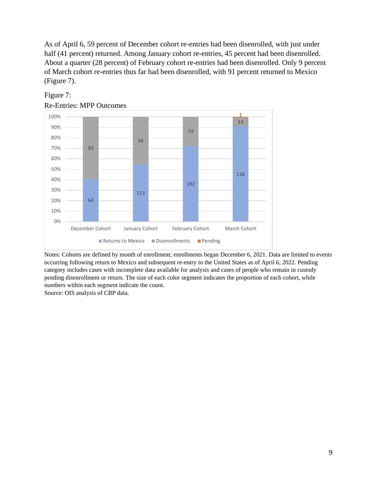As of April 6, 59 percent of December cohort re-entries had been disenrolled, with just under half (41 percent) returned. Among January cohort re-entries, 45 percent had been disenrolled. About a quarter (28 percent) of February cohort re-entries had been disenrolled. Only 9 percent of March cohort re-entries thus far had been disenrolled, with 91 percent returned to Mexico (Figure 7).



### Figure 7:

Re-Entries: MPP Outcomes

Notes: Cohorts are defined by month of enrollment; enrollments began December 6, 2021. Data are limited to events occurring following return to Mexico and subsequent re-entry to the United States as of April 6, 2022. Pending category includes cases with incomplete data available for analysis and cases of people who remain in custody pending disenrollment or return. The size of each color segment indicates the proportion of each cohort, while numbers within each segment indicate the count.

Source: OIS analysis of CBP data.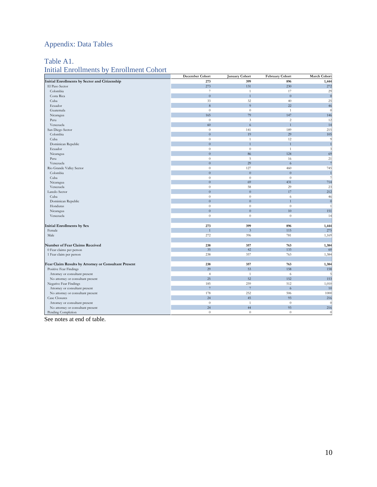# Appendix: Data Tables

## Table A1.

## Initial Enrollments by Enrollment Cohort

|                                                      | December Cohort | <b>January Cohort</b>   | February Cohort | <b>March Cohort</b> |
|------------------------------------------------------|-----------------|-------------------------|-----------------|---------------------|
| Initial Enrollments by Sector and Citizenship        | 273             | 399                     | 896             | 1,444               |
| El Paso Sector                                       | 273             | 131                     | 230             | 272                 |
| Colombia                                             | $\overline{7}$  | $\mathbf{1}$            | 17              | 29                  |
| Costa Rica                                           | $\overline{0}$  | $\overline{1}$          | $\overline{0}$  | $\overline{0}$      |
| Cuba                                                 | 33              | 32                      | 40              | 25                  |
| Ecuador                                              | 8               | $\overline{9}$          | 22              | 46                  |
| Guatemala                                            | $\theta$        | $\theta$                | $\overline{1}$  | $\epsilon$          |
| Nicaragua                                            | 165             | 79                      | 147             | 146                 |
| Peru                                                 | $\theta$        | 3                       | $\overline{c}$  | 12                  |
| Venezuela                                            | 60              | $\overline{6}$          | $\overline{1}$  | 14                  |
| San Diego Sector                                     | $\theta$        | 141                     | 189             | 215                 |
| Colombia                                             | $\overline{0}$  | 19                      | 29              | 105                 |
| Cuba                                                 | $\theta$        | 1                       | 12              | S                   |
| Dominican Republic                                   | $\overline{0}$  | $\overline{1}$          | $\overline{1}$  |                     |
| Ecuador                                              | $\theta$        | $\theta$                | $\mathbf{1}$    | 3                   |
| Nicaragua                                            | $\overline{0}$  | 86                      | 124             | 69                  |
| Peru                                                 | $\theta$        | 5                       | 16              | 21                  |
| Venezuela                                            | $\overline{0}$  | 29                      | 6               |                     |
| Rio Grande Valley Sector                             | $\theta$        | 127                     | 460             | 745                 |
| Colombia                                             | $\Omega$        | $\overline{0}$          | $\overline{0}$  | $\overline{1}$      |
| Cuba                                                 | $\theta$        | $\theta$                | $\theta$        |                     |
| Nicaragua                                            | $\overline{0}$  | 69                      | 431             | 714                 |
| Venezuela                                            | $\theta$        | 58                      | 29              | 23                  |
| Laredo Sector                                        | $\overline{0}$  | $\overline{0}$          | 17              | 212                 |
| Cuba                                                 | $\theta$        | $\theta$                | 6               | 46                  |
| Dominican Republic                                   | $\overline{0}$  | $\overline{0}$          |                 | $\overline{0}$      |
| Honduras                                             | $\theta$        | $\theta$                | $\theta$        |                     |
| Nicaragua                                            | $\overline{0}$  | $\overline{0}$          | 10              | 151                 |
| Venezuela                                            | $\theta$        | $\theta$                | $\theta$        | 14                  |
|                                                      |                 |                         |                 |                     |
| Initial Enrollments by Sex                           | 273             | 399                     | 896             | 1,444               |
| Female                                               |                 | $\overline{\mathbf{3}}$ | 115             | 275                 |
| Male                                                 | 272             | 396                     | 781             | 1,169               |
|                                                      |                 |                         |                 |                     |
| Number of Fear Claims Received                       | 238             | 357                     | 763             | 1,384               |
| 0 Fear claims per person                             | 35              | 42                      | 133             | -60                 |
| 1 Fear claim per person                              | 238             | 357                     | 763             | 1,384               |
|                                                      |                 |                         |                 |                     |
| Fear Claim Results by Attorney or Consultant Present | 238             | 357                     | 763             | 1,384               |
| Positive Fear Findings                               | 29              | 53                      | 158             | 158                 |
| Attorney or consultant present                       | $\overline{4}$  | $\mathbf{1}$            | 6               |                     |
| No attorney or consultant present                    | 25              | 52                      | 152             | 153                 |
| Negative Fear Findings                               | 185             | 259                     | 512             | 1,010               |
| Attorney or consultant present                       | $\overline{7}$  | $\overline{7}$          | $\overline{6}$  | 10                  |
| No attorney or consultant present                    | 178             | 252                     | 506             | 1000                |
| Case Closures                                        | 24              | 45                      | 93              | 216                 |
| Attorney or consultant present                       | $\theta$        | 1                       | $\theta$        |                     |
| No attorney or consultant present                    | 24              | 44                      | 93              | 216                 |
| Pending Completion                                   | $\theta$        | $\theta$                | $\theta$        | $\overline{0}$      |

See notes at end of table.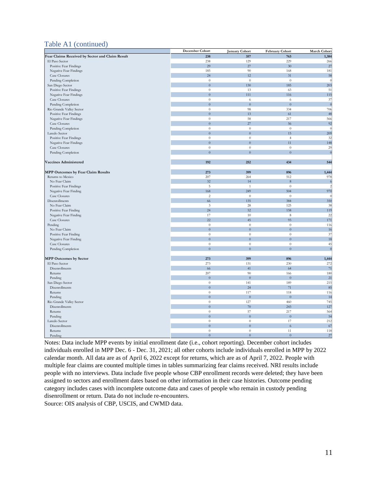#### Table A1 (continued)

|                                                 | December Cohort  | January Cohort   | February Cohort  | March Cohort |
|-------------------------------------------------|------------------|------------------|------------------|--------------|
| Fear Claims Received by Sector and Claim Result | 238              | 357              | 763              | 1,384        |
| El Paso Sector                                  | 238              | 129              | 229              | 266          |
| Positive Fear Findings                          | 29               | 27               | 30               | 27           |
| Negative Fear Findings                          | 185              | 90               | 168              | 181          |
| Case Closures                                   | 24               | 12               | 31               | 58           |
| Pending Completion                              | $\theta$         | $\boldsymbol{0}$ | $\theta$         | $\epsilon$   |
| San Diego Sector                                | $\overline{0}$   | 130              | 185              | 203          |
| Positive Fear Findings                          | $\theta$         | 13               | 63               | 51           |
| Negative Fear Findings                          | $\overline{0}$   | 111              | 116              | 115          |
| Case Closures                                   | $\theta$         | 6                | 6                | 37           |
| Pending Completion                              | $\Omega$         | $\Omega$         | $\Omega$         | $\sqrt{ }$   |
| Rio Grande Valley Sector                        | $\theta$         | 98               | 334              | 706          |
| Positive Fear Findings                          | $\overline{0}$   | 13               | 61               | 48           |
| Negative Fear Findings                          | $\theta$         | 58               | 217              | 566          |
| <b>Case Closures</b>                            | $\overline{0}$   | 27               | 56               | 92           |
| Pending Completion                              | $\boldsymbol{0}$ | $\theta$         | $\boldsymbol{0}$ | $\theta$     |
| Laredo Sector                                   | $\overline{0}$   | $\overline{0}$   | 15               | 209          |
| Positive Fear Findings                          | $\boldsymbol{0}$ | $\theta$         | $\overline{4}$   | 32           |
| Negative Fear Findings                          | $\overline{0}$   | $\overline{0}$   | 11               | 148          |
| Case Closures                                   | $\boldsymbol{0}$ | $\boldsymbol{0}$ | $\theta$         | 29           |
| Pending Completion                              | $\overline{0}$   | $\overline{0}$   | $\boldsymbol{0}$ | $\sqrt{ }$   |
|                                                 |                  |                  |                  |              |
| Vaccines Administered                           | 192              | 252              | 434              | 544          |
|                                                 |                  |                  |                  |              |
| <b>MPP Outcomes by Fear Claim Results</b>       | 273              | 399              | 896              | 1,444        |
| Returns to Mexico                               | 207              | 264              | 512              | 978          |
| No Fear Claim                                   | 32               | 14               | $\mathbf{8}$     | -6           |
| Positive Fear Findings                          | 5                | $\mathbf{1}$     | $\theta$         | 2            |
| Negative Fear Finding                           | 168              | 249              | 504              | 970          |
| <b>Case Closures</b>                            | $\overline{c}$   | $\theta$         | $\theta$         |              |
| Disenrollments                                  | 66               | 135              | 384              | 350          |
| No Fear Claim                                   | 3                | 28               | 125              | 38           |
| Positive Fear Finding                           | 24               | 52               | 158              | 119          |
| Negative Fear Finding                           | 17               | 10               | 8                | 22           |
| <b>Case Closures</b>                            | 22               | 45               | 93               | 171          |
| Pending                                         | $\theta$         | $\boldsymbol{0}$ | $\theta$         | 116          |
| No Fear Claim                                   | $\overline{0}$   | $\overline{0}$   | $\overline{0}$   | 16           |
| Positive Fear Finding                           | $\theta$         | $\theta$         | $\theta$         | 37           |
| Negative Fear Finding                           | $\overline{0}$   | $\overline{0}$   | $\overline{0}$   | 18           |
| Case Closures                                   | $\boldsymbol{0}$ | $\boldsymbol{0}$ | $\boldsymbol{0}$ | 45           |
| Pending Completion                              | $\overline{0}$   | $\overline{0}$   | $\overline{0}$   |              |
|                                                 |                  |                  |                  |              |
| <b>MPP Outcomes by Sector</b>                   | 273              | 399              | 896              | 1,444        |
| El Paso Sector                                  | 273              | 131              | 230              | 272          |
| Disenrollments                                  | 66               | 41               | 64               | 71           |
| Returns                                         | 207              | 90               | 166              | 180          |
| Pending                                         | $\Omega$         | $\overline{0}$   | $\overline{0}$   | 21           |
| San Diego Sector                                | $\theta$         | 141              | 189              | 215          |
| Disenrollments                                  | $\overline{0}$   | 24               | 71               | 85           |
| Returns                                         | $\theta$         | 117              | 118              | 116          |
| Pending                                         | $\overline{0}$   | $\overline{0}$   | $\theta$         | 14           |
| Rio Grande Valley Sector                        | $\boldsymbol{0}$ | 127              | 460              | 745          |
| Disenrollments                                  | $\overline{0}$   | 70               | 243              | 127          |
| Returns                                         | $\boldsymbol{0}$ | 57               | 217              | 564          |
| Pending                                         | $\overline{0}$   | $\overline{0}$   | $\overline{0}$   | 54           |
| Laredo Sector                                   | $\boldsymbol{0}$ | $\,0\,$          | 17               | 212          |
| Disenrollments                                  | $\overline{0}$   | $\overline{0}$   | $\sqrt{6}$       | 67           |
| Returns                                         | $\theta$         | $\theta$         | 11               | 118          |
| Pending                                         | $\overline{0}$   | $\overline{0}$   | $\boldsymbol{0}$ | 27           |
|                                                 |                  |                  |                  |              |

Notes: Data include MPP events by initial enrollment date (i.e., cohort reporting). December cohort includes individuals enrolled in MPP Dec. 6 - Dec. 31, 2021; all other cohorts include individuals enrolled in MPP by 2022 calendar month. All data are as of April 6, 2022 except for returns, which are as of April 7, 2022. People with multiple fear claims are counted multiple times in tables summarizing fear claims received. NRI results include people with no interviews. Data include five people whose CBP enrollment records were deleted; they have been assigned to sectors and enrollment dates based on other information in their case histories. Outcome pending category includes cases with incomplete outcome data and cases of people who remain in custody pending disenrollment or return. Data do not include re-encounters.

Source: OIS analysis of CBP, USCIS, and CWMD data.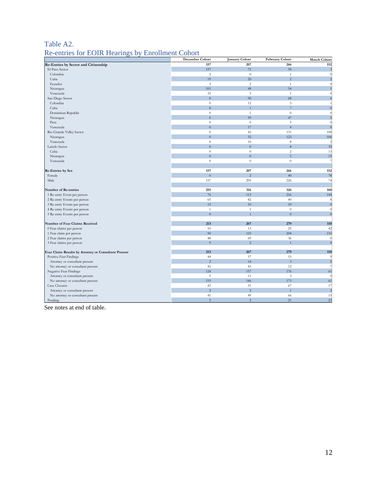## Table A2.

#### Re-entries for EOIR Hearings by Enrollment Cohort

|                                                      | December Cohort  | <b>January Cohort</b> | February Cohort             | March Cohort   |
|------------------------------------------------------|------------------|-----------------------|-----------------------------|----------------|
| Re-Entries by Sector and Citizenship                 | 157              | 207                   | 266                         | 152            |
| El Paso Sector                                       | 157              | 75                    | 59                          |                |
| Colombia                                             | 2                | $\theta$              | $\mathbf{1}$                |                |
| Cuba                                                 | 19               | 20                    | $\overline{2}$              |                |
| Ecuador                                              | $\mathfrak{Z}$   | $\sqrt{2}$            | $\mathbf{1}$                |                |
| Nicaragua                                            | 101              | 48                    | 54                          |                |
| Venezuela                                            | 32               | 5                     | $\mathbf{1}$                |                |
| San Diego Sector                                     | $\overline{0}$   | 90                    | 68                          |                |
| Colombia                                             | $\theta$         | 12                    | 5                           |                |
| Cuba                                                 | $\overline{0}$   |                       | $\overline{7}$              |                |
| Dominican Republic                                   | $\theta$         | 1                     | $\theta$                    |                |
| Nicaragua                                            | $\overline{0}$   | 59                    | 47                          |                |
| Peru                                                 | $\boldsymbol{0}$ | $\boldsymbol{0}$      | 5                           |                |
| Venezuela                                            | $\overline{0}$   | 17                    | $\overline{4}$              |                |
| Rio Grande Valley Sector                             | $\boldsymbol{0}$ | 42                    | 131                         | 108            |
| Nicaragua                                            | $\overline{0}$   | 32                    | 123                         | 106            |
| Venezuela                                            | $\boldsymbol{0}$ | 10                    | 8                           | 2              |
| Laredo Sector                                        | $\overline{0}$   | $\overline{0}$        | $8\phantom{.}$              | 35             |
| Cuba                                                 | $\theta$         | $\theta$              | $\overline{c}$              | 13             |
| Nicaragua                                            | $\overline{0}$   | $\overline{0}$        | $\overline{5}$              | 15             |
| Venezuela                                            | $\theta$         | $\theta$              | $\theta$                    |                |
|                                                      |                  |                       |                             |                |
| <b>Re-Entries by Sex</b>                             | 157              | 207                   | 266                         | 152            |
| Female                                               | $\overline{0}$   | $\overline{2}$        | 40                          | 78             |
| Male                                                 | 157              | 205                   | 226                         | 74             |
|                                                      |                  |                       |                             |                |
| Number of Re-entries                                 | 255              | 316                   | 326                         | 160            |
| 1 Re-entry Event per person                          | 76               | 113                   | 216                         | 144            |
| 2 Re-entry Events per person                         | 65               | 82                    | 40                          | 8              |
| 3 Re-entry Events per person                         | 15               | 10                    | 10 <sup>10</sup>            | $\sqrt{ }$     |
| 4 Re-entry Events per person                         | $\mathbf{1}$     | $\mathbf{1}$          | $\theta$                    | $\sqrt{ }$     |
| 5 Re-entry Events per person                         | $\overline{0}$   |                       | $\Omega$                    |                |
|                                                      |                  |                       |                             |                |
| Number of Fear Claims Received                       | 213              | 267                   | 279                         | 110            |
| 0 Fear claims per person                             | 10               | 13                    | 25                          | 42             |
| 1 Fear claim per person                              | 90               | 123                   | 204                         | 110            |
| 2 Fear claims per person                             | 48               | 69                    | 36                          |                |
| 3 Fear claims per person                             | $\overline{9}$   | $\overline{2}$        | $\overline{1}$              | $\sqrt{ }$     |
|                                                      |                  |                       |                             |                |
| Fear Claim Results by Attorney or Consultant Present | 213              | 267                   | 279                         | 110            |
| Positive Fear Findings                               | 44               | 57                    | 15                          |                |
| Attorney or consultant present                       | $\sqrt{2}$       | 14                    | $\ensuremath{\mathfrak{Z}}$ | 2              |
| No attorney or consultant present                    | 42               | 43                    | 12                          |                |
| Negative Fear Findings                               | 124              | 157                   | 176                         | 61             |
| Attorney or consultant present                       | 5                | 11                    | $\mathbf{3}$                |                |
| No attorney or consultant present                    | 119              | 146                   | 173                         | 61             |
| Case Closures                                        | 43               | 51                    | 67                          | 17             |
| Attorney or consultant present                       | $\overline{2}$   | $\overline{c}$        | $\overline{1}$              | $\overline{c}$ |
| No attorney or consultant present                    | 41               | 49                    | 66                          | 15             |
| Pending                                              | $\sqrt{2}$       | $\overline{2}$        | 21                          | 23             |

See notes at end of table.